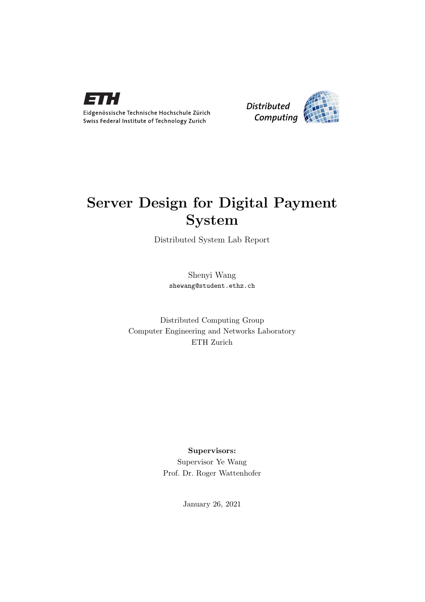

Eidgenössische Technische Hochschule Zürich Swiss Federal Institute of Technology Zurich



# Server Design for Digital Payment System

Distributed System Lab Report

Shenyi Wang shewang@student.ethz.ch

Distributed Computing Group Computer Engineering and Networks Laboratory ETH Zurich

# Supervisors:

Supervisor Ye Wang Prof. Dr. Roger Wattenhofer

January 26, 2021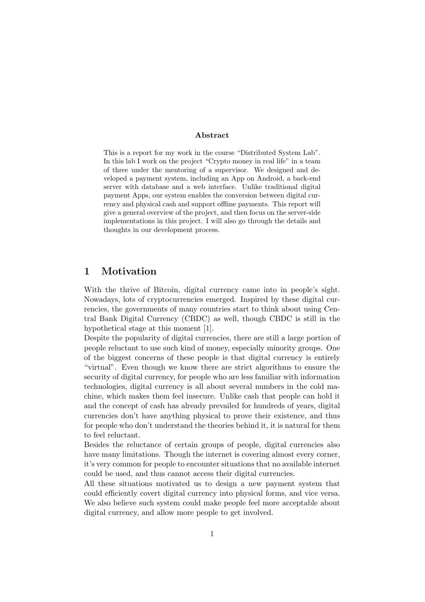#### Abstract

This is a report for my work in the course "Distributed System Lab". In this lab I work on the project "Crypto money in real life" in a team of three under the mentoring of a supervisor. We designed and developed a payment system, including an App on Android, a back-end server with database and a web interface. Unlike traditional digital payment Apps, our system enables the conversion between digital currency and physical cash and support offline payments. This report will give a general overview of the project, and then focus on the server-side implementations in this project. I will also go through the details and thoughts in our development process.

## 1 Motivation

With the thrive of Bitcoin, digital currency came into in people's sight. Nowadays, lots of cryptocurrencies emerged. Inspired by these digital currencies, the governments of many countries start to think about using Central Bank Digital Currency (CBDC) as well, though CBDC is still in the hypothetical stage at this moment [\[1\]](#page-10-0).

Despite the popularity of digital currencies, there are still a large portion of people reluctant to use such kind of money, especially minority groups. One of the biggest concerns of these people is that digital currency is entirely "virtual". Even though we know there are strict algorithms to ensure the security of digital currency, for people who are less familiar with information technologies, digital currency is all about several numbers in the cold machine, which makes them feel insecure. Unlike cash that people can hold it and the concept of cash has already prevailed for hundreds of years, digital currencies don't have anything physical to prove their existence, and thus for people who don't understand the theories behind it, it is natural for them to feel reluctant.

Besides the reluctance of certain groups of people, digital currencies also have many limitations. Though the internet is covering almost every corner, it's very common for people to encounter situations that no available internet could be used, and thus cannot access their digital currencies.

All these situations motivated us to design a new payment system that could efficiently covert digital currency into physical forms, and vice versa. We also believe such system could make people feel more acceptable about digital currency, and allow more people to get involved.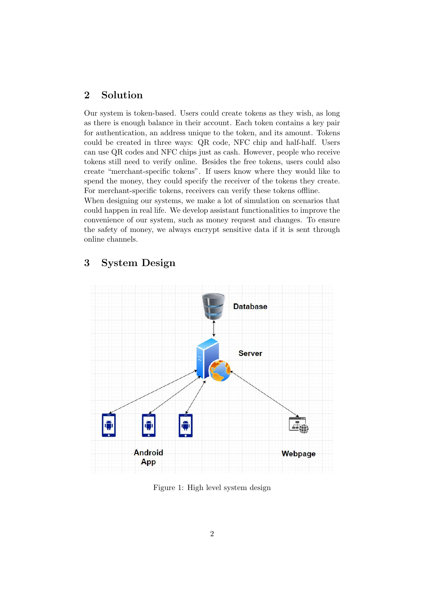# 2 Solution

Our system is token-based. Users could create tokens as they wish, as long as there is enough balance in their account. Each token contains a key pair for authentication, an address unique to the token, and its amount. Tokens could be created in three ways: QR code, NFC chip and half-half. Users can use QR codes and NFC chips just as cash. However, people who receive tokens still need to verify online. Besides the free tokens, users could also create "merchant-specific tokens". If users know where they would like to spend the money, they could specify the receiver of the tokens they create. For merchant-specific tokens, receivers can verify these tokens offline.

When designing our systems, we make a lot of simulation on scenarios that could happen in real life. We develop assistant functionalities to improve the convenience of our system, such as money request and changes. To ensure the safety of money, we always encrypt sensitive data if it is sent through online channels.

# 3 System Design



Figure 1: High level system design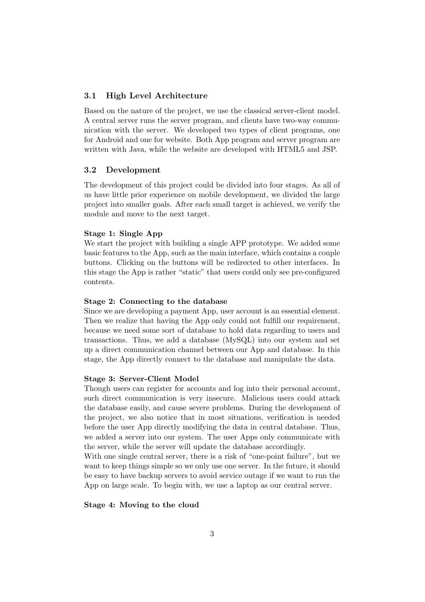## 3.1 High Level Architecture

Based on the nature of the project, we use the classical server-client model. A central server runs the server program, and clients have two-way communication with the server. We developed two types of client programs, one for Android and one for website. Both App program and server program are written with Java, while the website are developed with HTML5 and JSP.

## 3.2 Development

The development of this project could be divided into four stages. As all of us have little prior experience on mobile development, we divided the large project into smaller goals. After each small target is achieved, we verify the module and move to the next target.

### Stage 1: Single App

We start the project with building a single APP prototype. We added some basic features to the App, such as the main interface, which contains a couple buttons. Clicking on the buttons will be redirected to other interfaces. In this stage the App is rather "static" that users could only see pre-configured contents.

## Stage 2: Connecting to the database

Since we are developing a payment App, user account is an essential element. Then we realize that having the App only could not fulfill our requirement, because we need some sort of database to hold data regarding to users and transactions. Thus, we add a database (MySQL) into our system and set up a direct communication channel between our App and database. In this stage, the App directly connect to the database and manipulate the data.

#### Stage 3: Server-Client Model

Though users can register for accounts and log into their personal account, such direct communication is very insecure. Malicious users could attack the database easily, and cause severe problems. During the development of the project, we also notice that in most situations, verification is needed before the user App directly modifying the data in central database. Thus, we added a server into our system. The user Apps only communicate with the server, while the server will update the database accordingly.

With one single central server, there is a risk of "one-point failure", but we want to keep things simple so we only use one server. In the future, it should be easy to have backup servers to avoid service outage if we want to run the App on large scale. To begin with, we use a laptop as our central server.

#### Stage 4: Moving to the cloud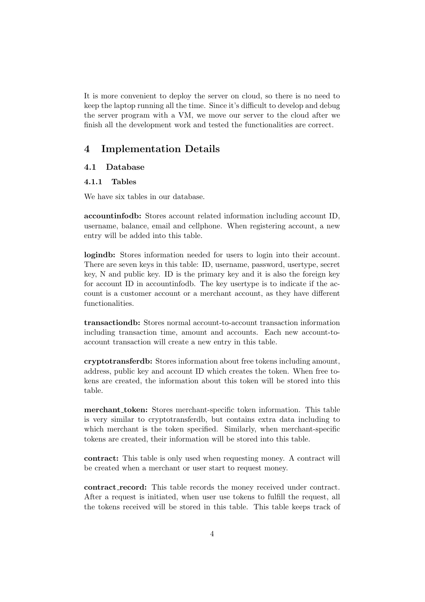It is more convenient to deploy the server on cloud, so there is no need to keep the laptop running all the time. Since it's difficult to develop and debug the server program with a VM, we move our server to the cloud after we finish all the development work and tested the functionalities are correct.

# 4 Implementation Details

## 4.1 Database

#### 4.1.1 Tables

We have six tables in our database.

accountinfodb: Stores account related information including account ID, username, balance, email and cellphone. When registering account, a new entry will be added into this table.

logindb: Stores information needed for users to login into their account. There are seven keys in this table: ID, username, password, usertype, secret key, N and public key. ID is the primary key and it is also the foreign key for account ID in accountinfodb. The key usertype is to indicate if the account is a customer account or a merchant account, as they have different functionalities.

transactiondb: Stores normal account-to-account transaction information including transaction time, amount and accounts. Each new account-toaccount transaction will create a new entry in this table.

cryptotransferdb: Stores information about free tokens including amount, address, public key and account ID which creates the token. When free tokens are created, the information about this token will be stored into this table.

merchant token: Stores merchant-specific token information. This table is very similar to cryptotransferdb, but contains extra data including to which merchant is the token specified. Similarly, when merchant-specific tokens are created, their information will be stored into this table.

contract: This table is only used when requesting money. A contract will be created when a merchant or user start to request money.

contract record: This table records the money received under contract. After a request is initiated, when user use tokens to fulfill the request, all the tokens received will be stored in this table. This table keeps track of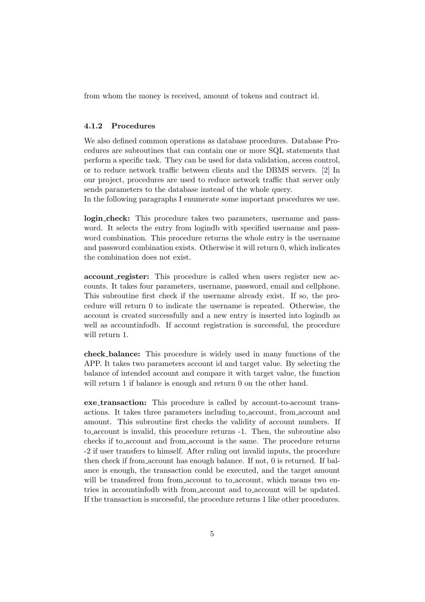from whom the money is received, amount of tokens and contract id.

#### 4.1.2 Procedures

We also defined common operations as database procedures. Database Procedures are subroutines that can contain one or more SQL statements that perform a specific task. They can be used for data validation, access control, or to reduce network traffic between clients and the DBMS servers. [\[2\]](#page-10-1) In our project, procedures are used to reduce network traffic that server only sends parameters to the database instead of the whole query.

In the following paragraphs I enumerate some important procedures we use.

login check: This procedure takes two parameters, username and password. It selects the entry from logindb with specified username and password combination. This procedure returns the whole entry is the username and password combination exists. Otherwise it will return 0, which indicates the combination does not exist.

account register: This procedure is called when users register new accounts. It takes four parameters, username, password, email and cellphone. This subroutine first check if the username already exist. If so, the procedure will return 0 to indicate the username is repeated. Otherwise, the account is created successfully and a new entry is inserted into logindb as well as accountinfodb. If account registration is successful, the procedure will return 1.

check balance: This procedure is widely used in many functions of the APP. It takes two parameters account id and target value. By selecting the balance of intended account and compare it with target value, the function will return 1 if balance is enough and return 0 on the other hand.

exe transaction: This procedure is called by account-to-account transactions. It takes three parameters including to account, from account and amount. This subroutine first checks the validity of account numbers. If to account is invalid, this procedure returns -1. Then, the subroutine also checks if to account and from account is the same. The procedure returns -2 if user transfers to himself. After ruling out invalid inputs, the procedure then check if from account has enough balance. If not, 0 is returned. If balance is enough, the transaction could be executed, and the target amount will be transfered from from account to to account, which means two entries in accountinfodb with from account and to account will be updated. If the transaction is successful, the procedure returns 1 like other procedures.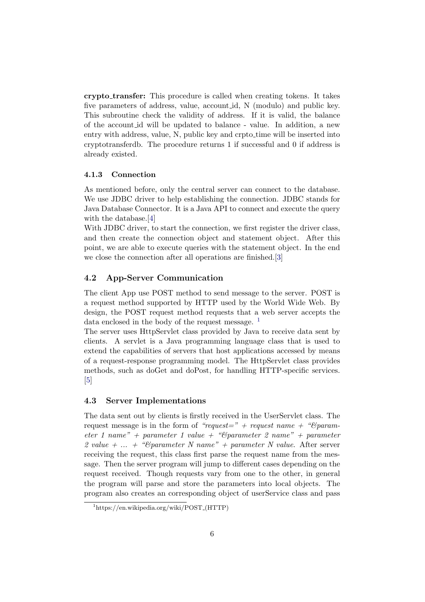crypto transfer: This procedure is called when creating tokens. It takes five parameters of address, value, account id, N (modulo) and public key. This subroutine check the validity of address. If it is valid, the balance of the account id will be updated to balance - value. In addition, a new entry with address, value, N, public key and crpto<sub>filme</sub> will be inserted into cryptotransferdb. The procedure returns 1 if successful and 0 if address is already existed.

#### 4.1.3 Connection

As mentioned before, only the central server can connect to the database. We use JDBC driver to help establishing the connection. JDBC stands for Java Database Connector. It is a Java API to connect and execute the query with the database.[\[4\]](#page-10-2)

With JDBC driver, to start the connection, we first register the driver class, and then create the connection object and statement object. After this point, we are able to execute queries with the statement object. In the end we close the connection after all operations are finished.[\[3\]](#page-10-3)

#### 4.2 App-Server Communication

The client App use POST method to send message to the server. POST is a request method supported by HTTP used by the World Wide Web. By design, the POST request method requests that a web server accepts the data enclosed in the body of the request message.  $<sup>1</sup>$  $<sup>1</sup>$  $<sup>1</sup>$ </sup>

The server uses HttpServlet class provided by Java to receive data sent by clients. A servlet is a Java programming language class that is used to extend the capabilities of servers that host applications accessed by means of a request-response programming model. The HttpServlet class provides methods, such as doGet and doPost, for handling HTTP-specific services. [\[5\]](#page-10-4)

#### 4.3 Server Implementations

The data sent out by clients is firstly received in the UserServlet class. The request message is in the form of "request=" + request name + " $\mathcal{B}param$ eter 1 name" + parameter 1 value + " $\ell$ parameter 2 name" + parameter 2 value + ... + "C parameter N name" + parameter N value. After server receiving the request, this class first parse the request name from the message. Then the server program will jump to different cases depending on the request received. Though requests vary from one to the other, in general the program will parse and store the parameters into local objects. The program also creates an corresponding object of userService class and pass

<span id="page-6-0"></span> $1<sup>1</sup>$ https://en.wikipedia.org/wiki/POST\_(HTTP)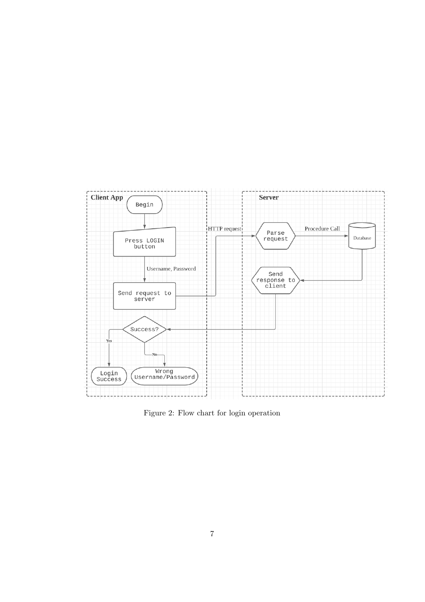

Figure 2: Flow chart for login operation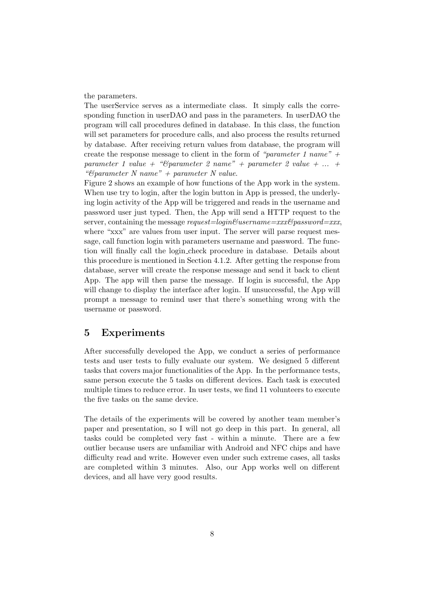the parameters.

The userService serves as a intermediate class. It simply calls the corresponding function in userDAO and pass in the parameters. In userDAO the program will call procedures defined in database. In this class, the function will set parameters for procedure calls, and also process the results returned by database. After receiving return values from database, the program will create the response message to client in the form of "parameter 1 name" + parameter 1 value + " $\mathcal{B}$ parameter 2 name" + parameter 2 value + ... + " $\mathscr{B}parameter\ N\ name" + parameter\ N\ value.$ 

Figure 2 shows an example of how functions of the App work in the system. When use try to login, after the login button in App is pressed, the underlying login activity of the App will be triggered and reads in the username and password user just typed. Then, the App will send a HTTP request to the server, containing the message request=login $\mathcal{C}username=xx\mathcal{C}password=xxx$ , where "xxx" are values from user input. The server will parse request message, call function login with parameters username and password. The function will finally call the login check procedure in database. Details about this procedure is mentioned in Section 4.1.2. After getting the response from database, server will create the response message and send it back to client App. The app will then parse the message. If login is successful, the App will change to display the interface after login. If unsuccessful, the App will prompt a message to remind user that there's something wrong with the username or password.

## 5 Experiments

After successfully developed the App, we conduct a series of performance tests and user tests to fully evaluate our system. We designed 5 different tasks that covers major functionalities of the App. In the performance tests, same person execute the 5 tasks on different devices. Each task is executed multiple times to reduce error. In user tests, we find 11 volunteers to execute the five tasks on the same device.

The details of the experiments will be covered by another team member's paper and presentation, so I will not go deep in this part. In general, all tasks could be completed very fast - within a minute. There are a few outlier because users are unfamiliar with Android and NFC chips and have difficulty read and write. However even under such extreme cases, all tasks are completed within 3 minutes. Also, our App works well on different devices, and all have very good results.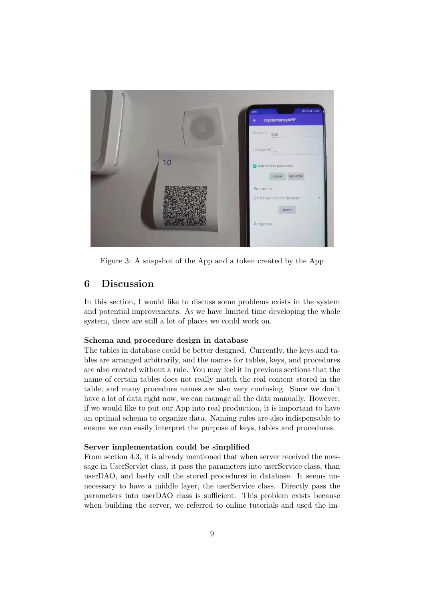

Figure 3: A snapshot of the App and a token created by the App

# 6 Discussion

In this section, I would like to discuss some problems exists in the system and potential improvements. As we have limited time developing the whole system, there are still a lot of places we could work on.

#### Schema and procedure design in database

The tables in database could be better designed. Currently, the keys and tables are arranged arbitrarily, and the names for tables, keys, and procedures are also created without a rule. You may feel it in previous sections that the name of certain tables does not really match the real content stored in the table, and many procedure names are also very confusing. Since we don't have a lot of data right now, we can manage all the data manually. However, if we would like to put our App into real production, it is important to have an optimal schema to organize data. Naming rules are also indispensable to ensure we can easily interpret the purpose of keys, tables and procedures.

#### Server implementation could be simplified

From section 4.3, it is already mentioned that when server received the message in UserServlet class, it pass the parameters into userService class, than userDAO, and lastly call the stored procedures in database. It seems unnecessary to have a middle layer, the userService class. Directly pass the parameters into userDAO class is sufficient. This problem exists because when building the server, we referred to online tutorials and used the im